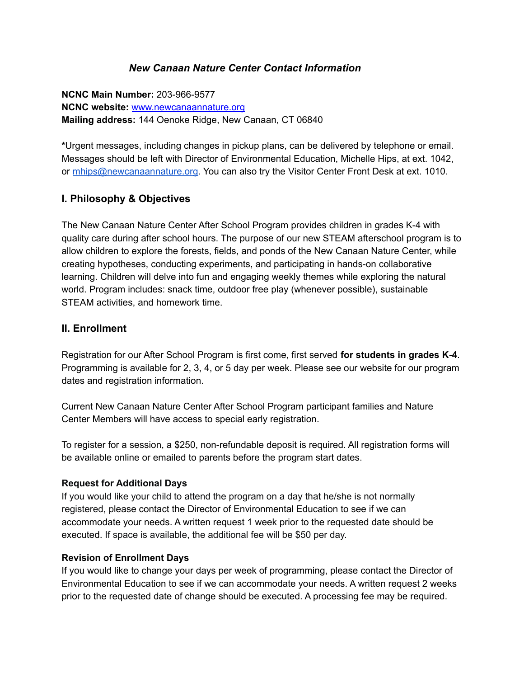## **New Canaan Nature Center Contact Information**

**NCNC Main Number:** 203-966-9577 **NCNC website:** www.newcanaannature.org **Mailing address:** 144 Oenoke Ridge, New Canaan, CT 06840

**\***Urgent messages, including changes in pickup plans, can be delivered by telephone or email. Messages should be left with Director of Environmental Education, Michelle Hips, at ext. 1042, or [mhips@newcanaannature.org.](mailto:mhips@newcanaannature.org) You can also try the Visitor Center Front Desk at ext. 1010.

## **I. Philosophy & Objectives**

The New Canaan Nature Center After School Program provides children in grades K-4 with quality care during after school hours. The purpose of our new STEAM afterschool program is to allow children to explore the forests, fields, and ponds of the New Canaan Nature Center, while creating hypotheses, conducting experiments, and participating in hands-on collaborative learning. Children will delve into fun and engaging weekly themes while exploring the natural world. Program includes: snack time, outdoor free play (whenever possible), sustainable STEAM activities, and homework time.

## **II. Enrollment**

Registration for our After School Program is first come, first served **for students in grades K-4**. Programming is available for 2, 3, 4, or 5 day per week. Please see our website for our program dates and registration information.

Current New Canaan Nature Center After School Program participant families and Nature Center Members will have access to special early registration.

To register for a session, a \$250, non-refundable deposit is required. All registration forms will be available online or emailed to parents before the program start dates.

## **Request for Additional Days**

If you would like your child to attend the program on a day that he/she is not normally registered, please contact the Director of Environmental Education to see if we can accommodate your needs. A written request 1 week prior to the requested date should be executed. If space is available, the additional fee will be \$50 per day.

## **Revision of Enrollment Days**

If you would like to change your days per week of programming, please contact the Director of Environmental Education to see if we can accommodate your needs. A written request 2 weeks prior to the requested date of change should be executed. A processing fee may be required.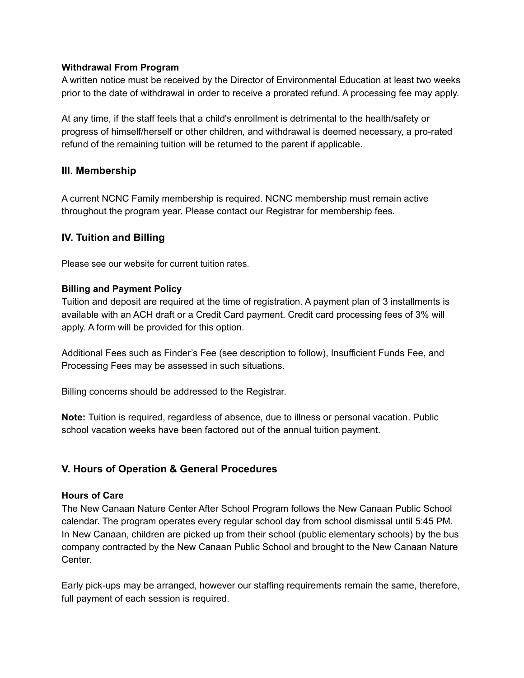### **Withdrawal From Program**

A written notice must be received by the Director of Environmental Education at least two weeks prior to the date of withdrawal in order to receive a prorated refund. A processing fee may apply.

At any time, if the staff feels that a child's enrollment is detrimental to the health/safety or progress of himself/herself or other children, and withdrawal is deemed necessary, a pro-rated refund of the remaining tuition will be returned to the parent if applicable.

### **III. Membership**

A current NCNC Family membership is required. NCNC membership must remain active throughout the program year. Please contact our Registrar for membership fees.

### **IV. Tuition and Billing**

Please see our website for current tuition rates.

### **Billing and Payment Policy**

Tuition and deposit are required at the time of registration. A payment plan of 3 installments is available with an ACH draft or a Credit Card payment. Credit card processing fees of 3% will apply. A form will be provided for this option.

Additional Fees such as Finder's Fee (see description to follow), Insufficient Funds Fee, and Processing Fees may be assessed in such situations.

Billing concerns should be addressed to the Registrar.

**Note:** Tuition is required, regardless of absence, due to illness or personal vacation. Public school vacation weeks have been factored out of the annual tuition payment.

## **V. Hours of Operation & General Procedures**

#### **Hours of Care**

The New Canaan Nature Center After School Program follows the New Canaan Public School calendar. The program operates every regular school day from school dismissal until 5:45 PM. In New Canaan, children are picked up from their school (public elementary schools) by the bus company contracted by the New Canaan Public School and brought to the New Canaan Nature Center.

Early pick-ups may be arranged, however our staffing requirements remain the same, therefore, full payment of each session is required.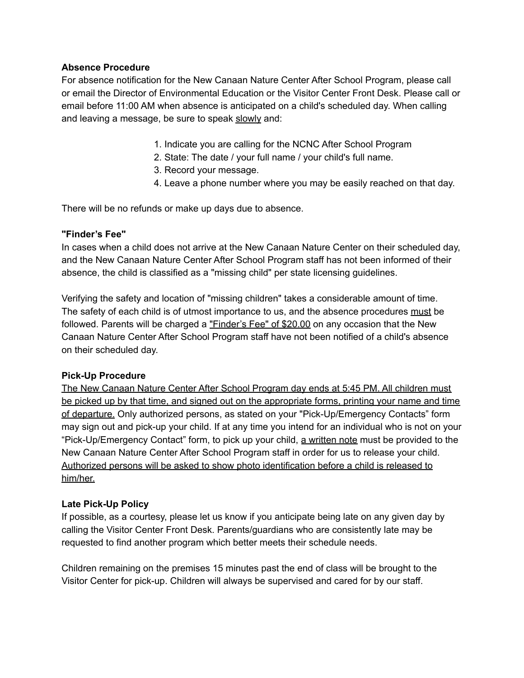### **Absence Procedure**

For absence notification for the New Canaan Nature Center After School Program, please call or email the Director of Environmental Education or the Visitor Center Front Desk. Please call or email before 11:00 AM when absence is anticipated on a child's scheduled day. When calling and leaving a message, be sure to speak slowly and:

- 1. Indicate you are calling for the NCNC After School Program
- 2. State: The date / your full name / your child's full name.
- 3. Record your message.
- 4. Leave a phone number where you may be easily reached on that day.

There will be no refunds or make up days due to absence.

### **"Finder's Fee"**

In cases when a child does not arrive at the New Canaan Nature Center on their scheduled day, and the New Canaan Nature Center After School Program staff has not been informed of their absence, the child is classified as a "missing child" per state licensing guidelines.

Verifying the safety and location of "missing children" takes a considerable amount of time. The safety of each child is of utmost importance to us, and the absence procedures must be followed. Parents will be charged a "Finder's Fee" of \$20.00 on any occasion that the New Canaan Nature Center After School Program staff have not been notified of a child's absence on their scheduled day.

### **Pick-Up Procedure**

The New Canaan Nature Center After School Program day ends at 5:45 PM. All children must be picked up by that time, and signed out on the appropriate forms, printing your name and time of departure. Only authorized persons, as stated on your "Pick-Up/Emergency Contacts" form may sign out and pick-up your child. If at any time you intend for an individual who is not on your "Pick-Up/Emergency Contact" form, to pick up your child, a written note must be provided to the New Canaan Nature Center After School Program staff in order for us to release your child. Authorized persons will be asked to show photo identification before a child is released to him/her.

### **Late Pick-Up Policy**

If possible, as a courtesy, please let us know if you anticipate being late on any given day by calling the Visitor Center Front Desk. Parents/guardians who are consistently late may be requested to find another program which better meets their schedule needs.

Children remaining on the premises 15 minutes past the end of class will be brought to the Visitor Center for pick-up. Children will always be supervised and cared for by our staff.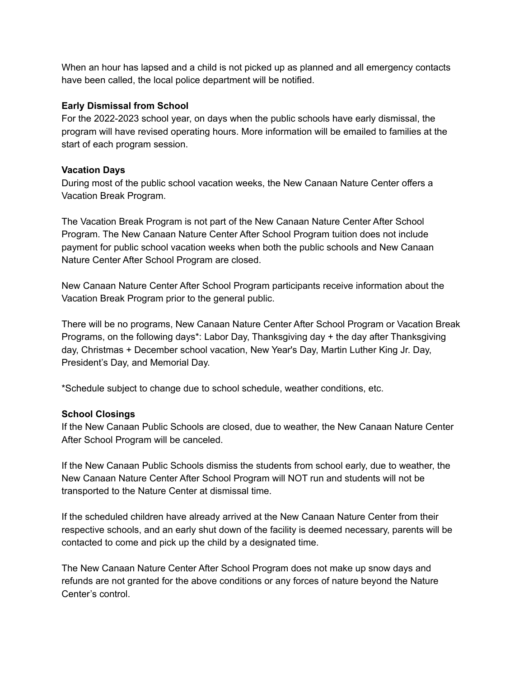When an hour has lapsed and a child is not picked up as planned and all emergency contacts have been called, the local police department will be notified.

### **Early Dismissal from School**

For the 2022-2023 school year, on days when the public schools have early dismissal, the program will have revised operating hours. More information will be emailed to families at the start of each program session.

### **Vacation Days**

During most of the public school vacation weeks, the New Canaan Nature Center offers a Vacation Break Program.

The Vacation Break Program is not part of the New Canaan Nature Center After School Program. The New Canaan Nature Center After School Program tuition does not include payment for public school vacation weeks when both the public schools and New Canaan Nature Center After School Program are closed.

New Canaan Nature Center After School Program participants receive information about the Vacation Break Program prior to the general public.

There will be no programs, New Canaan Nature Center After School Program or Vacation Break Programs, on the following days\*: Labor Day, Thanksgiving day + the day after Thanksgiving day, Christmas + December school vacation, New Year's Day, Martin Luther King Jr. Day, President's Day, and Memorial Day.

\*Schedule subject to change due to school schedule, weather conditions, etc.

## **School Closings**

If the New Canaan Public Schools are closed, due to weather, the New Canaan Nature Center After School Program will be canceled.

If the New Canaan Public Schools dismiss the students from school early, due to weather, the New Canaan Nature Center After School Program will NOT run and students will not be transported to the Nature Center at dismissal time.

If the scheduled children have already arrived at the New Canaan Nature Center from their respective schools, and an early shut down of the facility is deemed necessary, parents will be contacted to come and pick up the child by a designated time.

The New Canaan Nature Center After School Program does not make up snow days and refunds are not granted for the above conditions or any forces of nature beyond the Nature Center's control.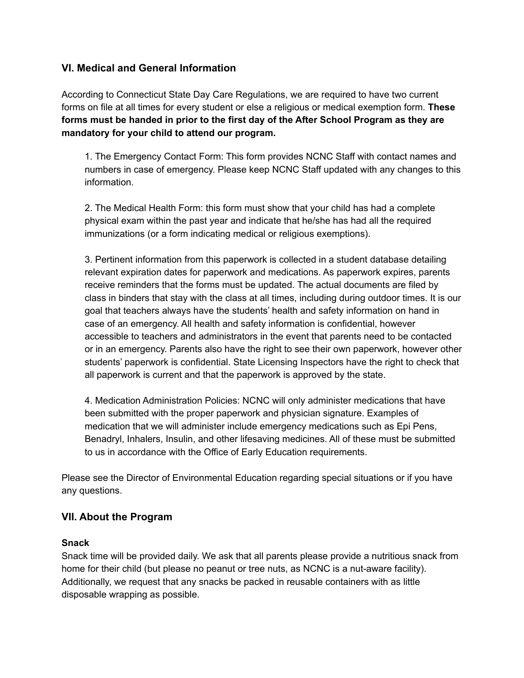## **VI. Medical and General Information**

According to Connecticut State Day Care Regulations, we are required to have two current forms on file at all times for every student or else a religious or medical exemption form. **These forms must be handed in prior to the first day of the After School Program as they are mandatory for your child to attend our program.**

1. The Emergency Contact Form: This form provides NCNC Staff with contact names and numbers in case of emergency. Please keep NCNC Staff updated with any changes to this information.

2. The Medical Health Form: this form must show that your child has had a complete physical exam within the past year and indicate that he/she has had all the required immunizations (or a form indicating medical or religious exemptions).

3. Pertinent information from this paperwork is collected in a student database detailing relevant expiration dates for paperwork and medications. As paperwork expires, parents receive reminders that the forms must be updated. The actual documents are filed by class in binders that stay with the class at all times, including during outdoor times. It is our goal that teachers always have the students' health and safety information on hand in case of an emergency. All health and safety information is confidential, however accessible to teachers and administrators in the event that parents need to be contacted or in an emergency. Parents also have the right to see their own paperwork, however other students' paperwork is confidential. State Licensing Inspectors have the right to check that all paperwork is current and that the paperwork is approved by the state.

4. Medication Administration Policies: NCNC will only administer medications that have been submitted with the proper paperwork and physician signature. Examples of medication that we will administer include emergency medications such as Epi Pens, Benadryl, Inhalers, Insulin, and other lifesaving medicines. All of these must be submitted to us in accordance with the Office of Early Education requirements.

Please see the Director of Environmental Education regarding special situations or if you have any questions.

## **VII. About the Program**

### **Snack**

Snack time will be provided daily. We ask that all parents please provide a nutritious snack from home for their child (but please no peanut or tree nuts, as NCNC is a nut-aware facility). Additionally, we request that any snacks be packed in reusable containers with as little disposable wrapping as possible.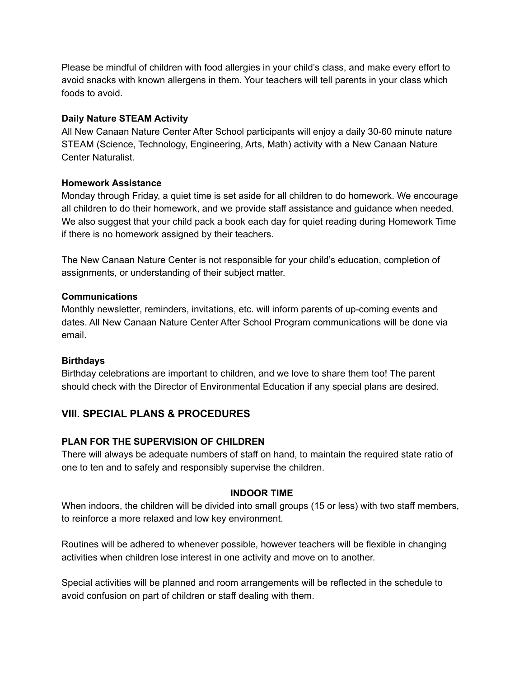Please be mindful of children with food allergies in your child's class, and make every effort to avoid snacks with known allergens in them. Your teachers will tell parents in your class which foods to avoid.

### **Daily Nature STEAM Activity**

All New Canaan Nature Center After School participants will enjoy a daily 30-60 minute nature STEAM (Science, Technology, Engineering, Arts, Math) activity with a New Canaan Nature Center Naturalist.

### **Homework Assistance**

Monday through Friday, a quiet time is set aside for all children to do homework. We encourage all children to do their homework, and we provide staff assistance and guidance when needed. We also suggest that your child pack a book each day for quiet reading during Homework Time if there is no homework assigned by their teachers.

The New Canaan Nature Center is not responsible for your child's education, completion of assignments, or understanding of their subject matter.

### **Communications**

Monthly newsletter, reminders, invitations, etc. will inform parents of up-coming events and dates. All New Canaan Nature Center After School Program communications will be done via email.

### **Birthdays**

Birthday celebrations are important to children, and we love to share them too! The parent should check with the Director of Environmental Education if any special plans are desired.

# **VIII. SPECIAL PLANS & PROCEDURES**

## **PLAN FOR THE SUPERVISION OF CHILDREN**

There will always be adequate numbers of staff on hand, to maintain the required state ratio of one to ten and to safely and responsibly supervise the children.

## **INDOOR TIME**

When indoors, the children will be divided into small groups (15 or less) with two staff members, to reinforce a more relaxed and low key environment.

Routines will be adhered to whenever possible, however teachers will be flexible in changing activities when children lose interest in one activity and move on to another.

Special activities will be planned and room arrangements will be reflected in the schedule to avoid confusion on part of children or staff dealing with them.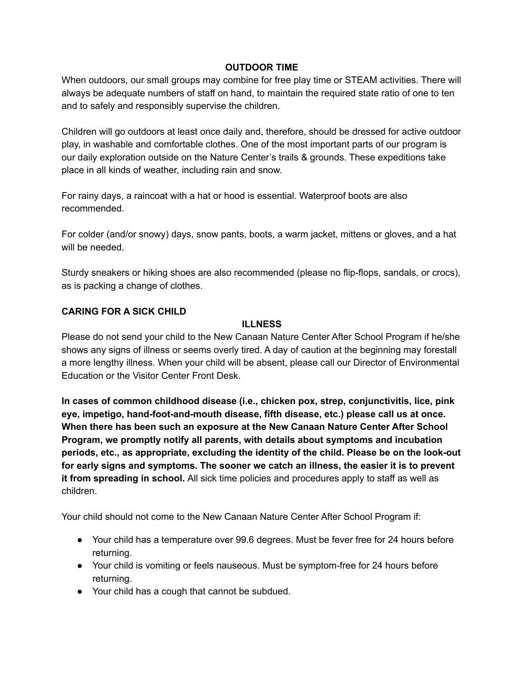### **OUTDOOR TIME**

When outdoors, our small groups may combine for free play time or STEAM activities. There will always be adequate numbers of staff on hand, to maintain the required state ratio of one to ten and to safely and responsibly supervise the children.

Children will go outdoors at least once daily and, therefore, should be dressed for active outdoor play, in washable and comfortable clothes. One of the most important parts of our program is our daily exploration outside on the Nature Center's trails & grounds. These expeditions take place in all kinds of weather, including rain and snow.

For rainy days, a raincoat with a hat or hood is essential. Waterproof boots are also recommended.

For colder (and/or snowy) days, snow pants, boots, a warm jacket, mittens or gloves, and a hat will be needed.

Sturdy sneakers or hiking shoes are also recommended (please no flip-flops, sandals, or crocs), as is packing a change of clothes.

### **CARING FOR A SICK CHILD**

### **ILLNESS**

Please do not send your child to the New Canaan Nature Center After School Program if he/she shows any signs of illness or seems overly tired. A day of caution at the beginning may forestall a more lengthy illness. When your child will be absent, please call our Director of Environmental Education or the Visitor Center Front Desk.

**In cases of common childhood disease (i.e., chicken pox, strep, conjunctivitis, lice, pink eye, impetigo, hand-foot-and-mouth disease, fifth disease, etc.) please call us at once. When there has been such an exposure at the New Canaan Nature Center After School Program, we promptly notify all parents, with details about symptoms and incubation periods, etc., as appropriate, excluding the identity of the child. Please be on the look-out for early signs and symptoms. The sooner we catch an illness, the easier it is to prevent it from spreading in school.** All sick time policies and procedures apply to staff as well as children.

Your child should not come to the New Canaan Nature Center After School Program if:

- Your child has a temperature over 99.6 degrees. Must be fever free for 24 hours before returning.
- Your child is vomiting or feels nauseous. Must be symptom-free for 24 hours before returning.
- Your child has a cough that cannot be subdued.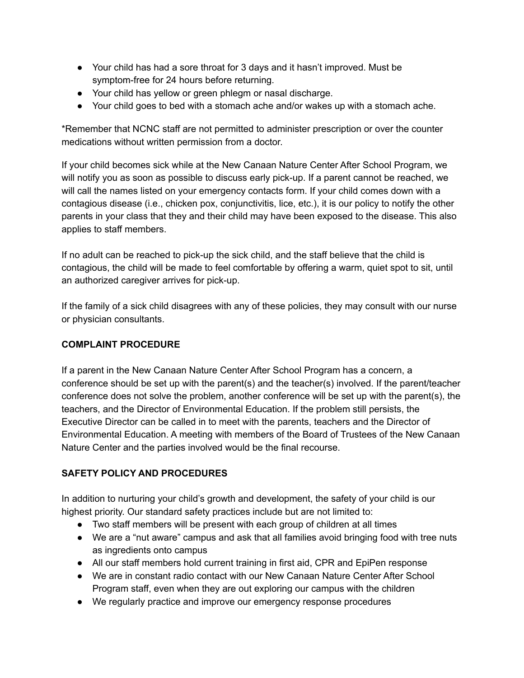- Your child has had a sore throat for 3 days and it hasn't improved. Must be symptom-free for 24 hours before returning.
- Your child has yellow or green phlegm or nasal discharge.
- Your child goes to bed with a stomach ache and/or wakes up with a stomach ache.

\*Remember that NCNC staff are not permitted to administer prescription or over the counter medications without written permission from a doctor.

If your child becomes sick while at the New Canaan Nature Center After School Program, we will notify you as soon as possible to discuss early pick-up. If a parent cannot be reached, we will call the names listed on your emergency contacts form. If your child comes down with a contagious disease (i.e., chicken pox, conjunctivitis, lice, etc.), it is our policy to notify the other parents in your class that they and their child may have been exposed to the disease. This also applies to staff members.

If no adult can be reached to pick-up the sick child, and the staff believe that the child is contagious, the child will be made to feel comfortable by offering a warm, quiet spot to sit, until an authorized caregiver arrives for pick-up.

If the family of a sick child disagrees with any of these policies, they may consult with our nurse or physician consultants.

## **COMPLAINT PROCEDURE**

If a parent in the New Canaan Nature Center After School Program has a concern, a conference should be set up with the parent(s) and the teacher(s) involved. If the parent/teacher conference does not solve the problem, another conference will be set up with the parent(s), the teachers, and the Director of Environmental Education. If the problem still persists, the Executive Director can be called in to meet with the parents, teachers and the Director of Environmental Education. A meeting with members of the Board of Trustees of the New Canaan Nature Center and the parties involved would be the final recourse.

# **SAFETY POLICY AND PROCEDURES**

In addition to nurturing your child's growth and development, the safety of your child is our highest priority. Our standard safety practices include but are not limited to:

- Two staff members will be present with each group of children at all times
- We are a "nut aware" campus and ask that all families avoid bringing food with tree nuts as ingredients onto campus
- All our staff members hold current training in first aid, CPR and EpiPen response
- We are in constant radio contact with our New Canaan Nature Center After School Program staff, even when they are out exploring our campus with the children
- We regularly practice and improve our emergency response procedures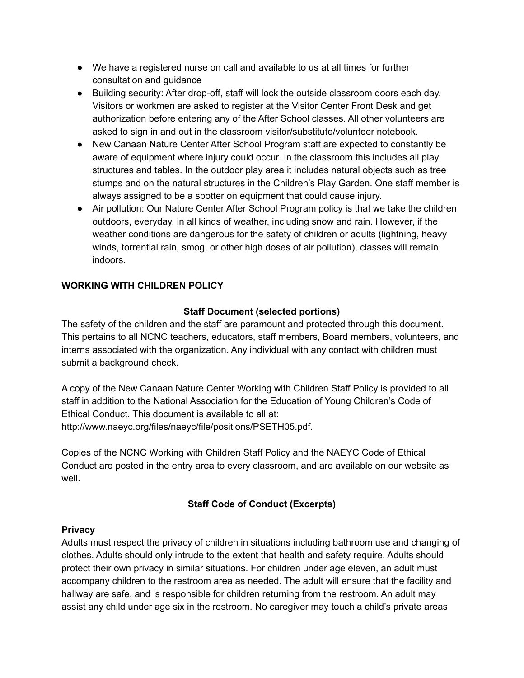- We have a registered nurse on call and available to us at all times for further consultation and guidance
- Building security: After drop-off, staff will lock the outside classroom doors each day. Visitors or workmen are asked to register at the Visitor Center Front Desk and get authorization before entering any of the After School classes. All other volunteers are asked to sign in and out in the classroom visitor/substitute/volunteer notebook.
- New Canaan Nature Center After School Program staff are expected to constantly be aware of equipment where injury could occur. In the classroom this includes all play structures and tables. In the outdoor play area it includes natural objects such as tree stumps and on the natural structures in the Children's Play Garden. One staff member is always assigned to be a spotter on equipment that could cause injury.
- Air pollution: Our Nature Center After School Program policy is that we take the children outdoors, everyday, in all kinds of weather, including snow and rain. However, if the weather conditions are dangerous for the safety of children or adults (lightning, heavy winds, torrential rain, smog, or other high doses of air pollution), classes will remain indoors.

## **WORKING WITH CHILDREN POLICY**

## **Staff Document (selected portions)**

The safety of the children and the staff are paramount and protected through this document. This pertains to all NCNC teachers, educators, staff members, Board members, volunteers, and interns associated with the organization. Any individual with any contact with children must submit a background check.

A copy of the New Canaan Nature Center Working with Children Staff Policy is provided to all staff in addition to the National Association for the Education of Young Children's Code of Ethical Conduct. This document is available to all at: http://www.naeyc.org/files/naeyc/file/positions/PSETH05.pdf.

Copies of the NCNC Working with Children Staff Policy and the NAEYC Code of Ethical Conduct are posted in the entry area to every classroom, and are available on our website as well.

## **Staff Code of Conduct (Excerpts)**

## **Privacy**

Adults must respect the privacy of children in situations including bathroom use and changing of clothes. Adults should only intrude to the extent that health and safety require. Adults should protect their own privacy in similar situations. For children under age eleven, an adult must accompany children to the restroom area as needed. The adult will ensure that the facility and hallway are safe, and is responsible for children returning from the restroom. An adult may assist any child under age six in the restroom. No caregiver may touch a child's private areas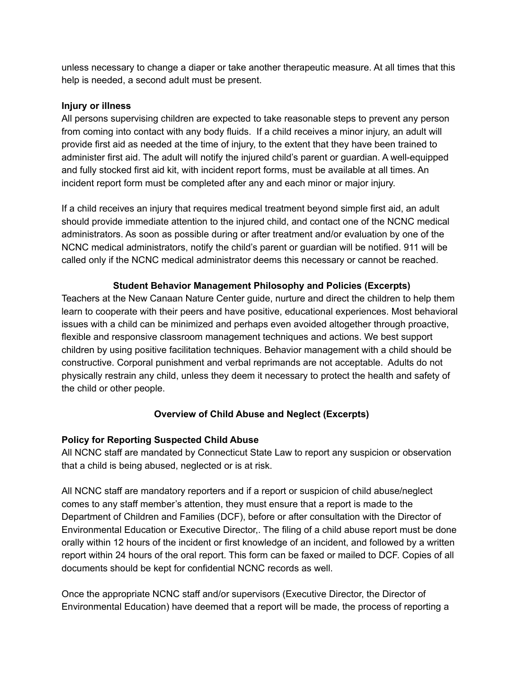unless necessary to change a diaper or take another therapeutic measure. At all times that this help is needed, a second adult must be present.

### **Injury or illness**

All persons supervising children are expected to take reasonable steps to prevent any person from coming into contact with any body fluids. If a child receives a minor injury, an adult will provide first aid as needed at the time of injury, to the extent that they have been trained to administer first aid. The adult will notify the injured child's parent or guardian. A well-equipped and fully stocked first aid kit, with incident report forms, must be available at all times. An incident report form must be completed after any and each minor or major injury.

If a child receives an injury that requires medical treatment beyond simple first aid, an adult should provide immediate attention to the injured child, and contact one of the NCNC medical administrators. As soon as possible during or after treatment and/or evaluation by one of the NCNC medical administrators, notify the child's parent or guardian will be notified. 911 will be called only if the NCNC medical administrator deems this necessary or cannot be reached.

## **Student Behavior Management Philosophy and Policies (Excerpts)**

Teachers at the New Canaan Nature Center guide, nurture and direct the children to help them learn to cooperate with their peers and have positive, educational experiences. Most behavioral issues with a child can be minimized and perhaps even avoided altogether through proactive, flexible and responsive classroom management techniques and actions. We best support children by using positive facilitation techniques. Behavior management with a child should be constructive. Corporal punishment and verbal reprimands are not acceptable. Adults do not physically restrain any child, unless they deem it necessary to protect the health and safety of the child or other people.

## **Overview of Child Abuse and Neglect (Excerpts)**

## **Policy for Reporting Suspected Child Abuse**

All NCNC staff are mandated by Connecticut State Law to report any suspicion or observation that a child is being abused, neglected or is at risk.

All NCNC staff are mandatory reporters and if a report or suspicion of child abuse/neglect comes to any staff member's attention, they must ensure that a report is made to the Department of Children and Families (DCF), before or after consultation with the Director of Environmental Education or Executive Director,. The filing of a child abuse report must be done orally within 12 hours of the incident or first knowledge of an incident, and followed by a written report within 24 hours of the oral report. This form can be faxed or mailed to DCF. Copies of all documents should be kept for confidential NCNC records as well.

Once the appropriate NCNC staff and/or supervisors (Executive Director, the Director of Environmental Education) have deemed that a report will be made, the process of reporting a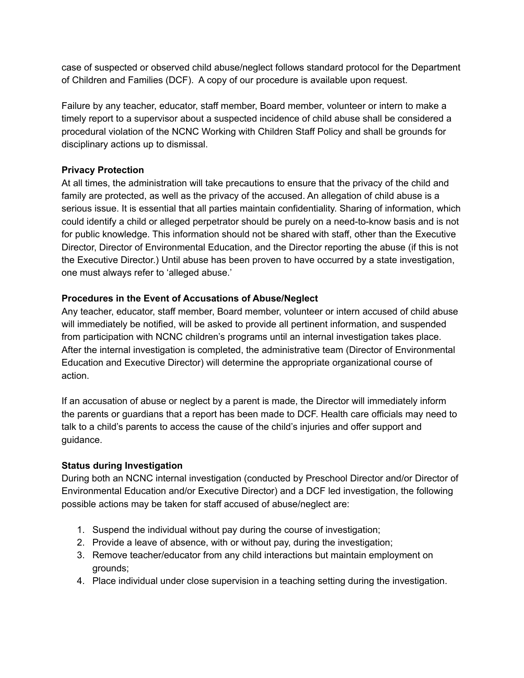case of suspected or observed child abuse/neglect follows standard protocol for the Department of Children and Families (DCF). A copy of our procedure is available upon request.

Failure by any teacher, educator, staff member, Board member, volunteer or intern to make a timely report to a supervisor about a suspected incidence of child abuse shall be considered a procedural violation of the NCNC Working with Children Staff Policy and shall be grounds for disciplinary actions up to dismissal.

## **Privacy Protection**

At all times, the administration will take precautions to ensure that the privacy of the child and family are protected, as well as the privacy of the accused. An allegation of child abuse is a serious issue. It is essential that all parties maintain confidentiality. Sharing of information, which could identify a child or alleged perpetrator should be purely on a need-to-know basis and is not for public knowledge. This information should not be shared with staff, other than the Executive Director, Director of Environmental Education, and the Director reporting the abuse (if this is not the Executive Director.) Until abuse has been proven to have occurred by a state investigation, one must always refer to 'alleged abuse.'

## **Procedures in the Event of Accusations of Abuse/Neglect**

Any teacher, educator, staff member, Board member, volunteer or intern accused of child abuse will immediately be notified, will be asked to provide all pertinent information, and suspended from participation with NCNC children's programs until an internal investigation takes place. After the internal investigation is completed, the administrative team (Director of Environmental Education and Executive Director) will determine the appropriate organizational course of action.

If an accusation of abuse or neglect by a parent is made, the Director will immediately inform the parents or guardians that a report has been made to DCF. Health care officials may need to talk to a child's parents to access the cause of the child's injuries and offer support and guidance.

# **Status during Investigation**

During both an NCNC internal investigation (conducted by Preschool Director and/or Director of Environmental Education and/or Executive Director) and a DCF led investigation, the following possible actions may be taken for staff accused of abuse/neglect are:

- 1. Suspend the individual without pay during the course of investigation;
- 2. Provide a leave of absence, with or without pay, during the investigation;
- 3. Remove teacher/educator from any child interactions but maintain employment on grounds;
- 4. Place individual under close supervision in a teaching setting during the investigation.